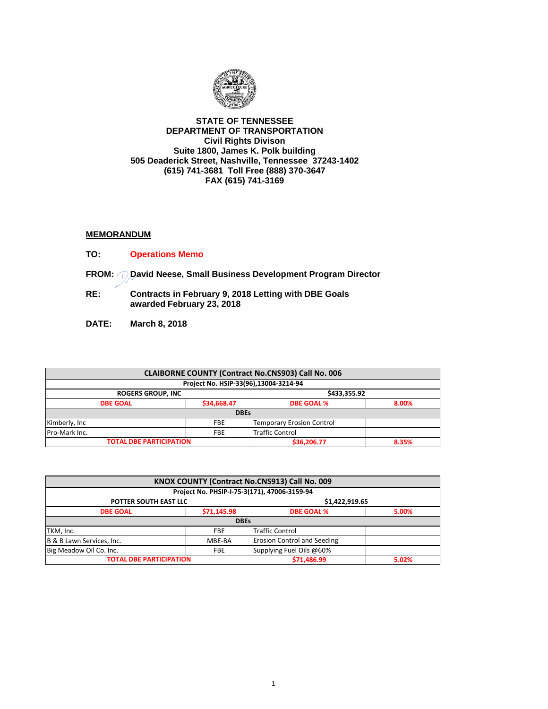

## **STATE OF TENNESSEE DEPARTMENT OF TRANSPORTATION Civil Rights Divison Suite 1800, James K. Polk building 505 Deaderick Street, Nashville, Tennessee 37243-1402 (615) 741-3681 Toll Free (888) 370-3647 FAX (615) 741-3169**

## **MEMORANDUM**

**TO: Operations Memo** 

**FROM: David Neese, Small Business Development Program Director**

- **RE: Contracts in February 9, 2018 Letting with DBE Goals awarded February 23, 2018**
- **DATE: March 8, 2018**

| <b>CLAIBORNE COUNTY (Contract No.CNS903) Call No. 006</b> |                                       |                                  |       |  |  |
|-----------------------------------------------------------|---------------------------------------|----------------------------------|-------|--|--|
|                                                           | Project No. HSIP-33(96),13004-3214-94 |                                  |       |  |  |
| \$433.355.92<br><b>ROGERS GROUP, INC</b>                  |                                       |                                  |       |  |  |
| <b>DBE GOAL</b>                                           | \$34,668.47                           | <b>DBE GOAL %</b>                | 8.00% |  |  |
|                                                           | <b>DBEs</b>                           |                                  |       |  |  |
| Kimberly, Inc                                             | <b>FBE</b>                            | <b>Temporary Erosion Control</b> |       |  |  |
| Pro-Mark Inc.                                             | <b>FBE</b>                            | <b>Traffic Control</b>           |       |  |  |
| <b>TOTAL DBE PARTICIPATION</b>                            |                                       | \$36,206.77                      | 8.35% |  |  |

| KNOX COUNTY (Contract No.CNS913) Call No. 009 |             |                                              |       |  |
|-----------------------------------------------|-------------|----------------------------------------------|-------|--|
|                                               |             | Project No. PHSIP-I-75-3(171), 47006-3159-94 |       |  |
| \$1,422,919.65<br>POTTER SOUTH EAST LLC       |             |                                              |       |  |
| <b>DBE GOAL</b>                               | \$71.145.98 | <b>DBE GOAL %</b><br>5.00%                   |       |  |
|                                               | <b>DBEs</b> |                                              |       |  |
| TKM, Inc.                                     | <b>FBE</b>  | Traffic Control                              |       |  |
| B & B Lawn Services, Inc.                     | MBE-BA      | <b>Erosion Control and Seeding</b>           |       |  |
| Big Meadow Oil Co. Inc.                       | <b>FBE</b>  | Supplying Fuel Oils @60%                     |       |  |
| <b>TOTAL DBE PARTICIPATION</b>                |             | \$71,486.99                                  | 5.02% |  |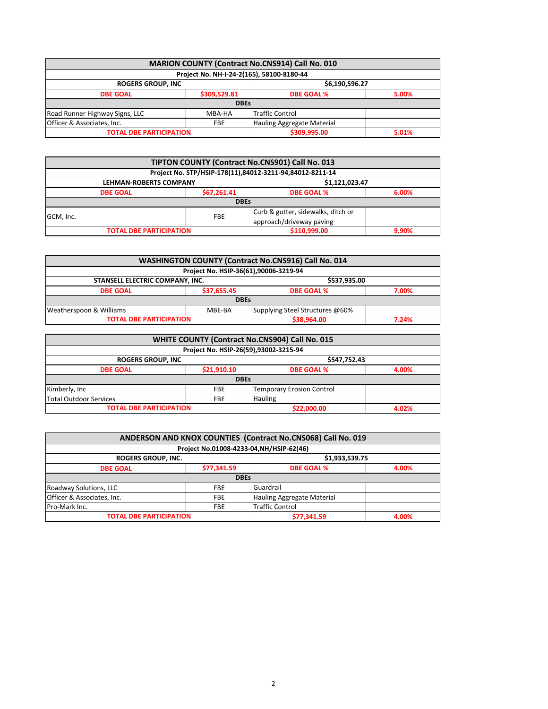| MARION COUNTY (Contract No.CNS914) Call No. 010 |                                           |                            |       |  |
|-------------------------------------------------|-------------------------------------------|----------------------------|-------|--|
|                                                 | Project No. NH-I-24-2(165), 58100-8180-44 |                            |       |  |
| <b>ROGERS GROUP, INC</b><br>\$6,190,596.27      |                                           |                            |       |  |
| <b>DBE GOAL</b>                                 | \$309,529.81                              | <b>DBE GOAL %</b><br>5.00% |       |  |
|                                                 | <b>DBEs</b>                               |                            |       |  |
| Road Runner Highway Signs, LLC                  | MBA-HA                                    | <b>Traffic Control</b>     |       |  |
| Officer & Associates, Inc.                      | <b>FBE</b>                                | Hauling Aggregate Material |       |  |
| <b>TOTAL DBE PARTICIPATION</b>                  |                                           | \$309,995.00               | 5.01% |  |

| TIPTON COUNTY (Contract No.CNS901) Call No. 013     |             |                                                                |       |  |
|-----------------------------------------------------|-------------|----------------------------------------------------------------|-------|--|
|                                                     |             | Project No. STP/HSIP-178(11),84012-3211-94,84012-8211-14       |       |  |
| \$1,121,023.47<br><b>LEHMAN-ROBERTS COMPANY</b>     |             |                                                                |       |  |
| \$67,261.41<br><b>DBE GOAL %</b><br><b>DBE GOAL</b> |             | 6.00%                                                          |       |  |
|                                                     | <b>DBEs</b> |                                                                |       |  |
| GCM, Inc.                                           | <b>FBE</b>  | Curb & gutter, sidewalks, ditch or<br>approach/driveway paving |       |  |
| <b>TOTAL DBE PARTICIPATION</b>                      |             | \$110,999.00                                                   | 9.90% |  |

| <b>WASHINGTON COUNTY (Contract No.CNS916) Call No. 014</b>           |             |                                       |       |  |
|----------------------------------------------------------------------|-------------|---------------------------------------|-------|--|
|                                                                      |             | Project No. HSIP-36(61),90006-3219-94 |       |  |
| STANSELL ELECTRIC COMPANY, INC.<br>\$537,935.00                      |             |                                       |       |  |
| <b>DBE GOAL</b>                                                      | \$37,655.45 | <b>DBE GOAL %</b><br>7.00%            |       |  |
| <b>DBEs</b>                                                          |             |                                       |       |  |
| Weatherspoon & Williams<br>Supplying Steel Structures @60%<br>MBE-BA |             |                                       |       |  |
| <b>TOTAL DBE PARTICIPATION</b>                                       |             | \$38,964.00                           | 7.24% |  |

| WHITE COUNTY (Contract No.CNS904) Call No. 015 |             |                                       |       |  |
|------------------------------------------------|-------------|---------------------------------------|-------|--|
|                                                |             | Project No. HSIP-26(59),93002-3215-94 |       |  |
| \$547,752.43<br><b>ROGERS GROUP, INC</b>       |             |                                       |       |  |
| <b>DBE GOAL</b>                                | \$21,910.10 | <b>DBE GOAL %</b><br>4.00%            |       |  |
| <b>DBEs</b>                                    |             |                                       |       |  |
| Kimberly, Inc.                                 | <b>FBE</b>  | <b>Temporary Erosion Control</b>      |       |  |
| <b>Total Outdoor Services</b>                  | FBE         | <b>Hauling</b>                        |       |  |
| <b>TOTAL DBE PARTICIPATION</b>                 |             | \$22,000.00                           | 4.02% |  |

| ANDERSON AND KNOX COUNTIES (Contract No.CNS068) Call No. 019 |             |                                          |       |  |
|--------------------------------------------------------------|-------------|------------------------------------------|-------|--|
|                                                              |             | Project No.01008-4233-04, NH/HSIP-62(46) |       |  |
| \$1,933,539.75<br><b>ROGERS GROUP, INC.</b>                  |             |                                          |       |  |
| <b>DBE GOAL</b>                                              | \$77,341.59 | <b>DBE GOAL %</b><br>4.00%               |       |  |
|                                                              | <b>DBEs</b> |                                          |       |  |
| Roadway Solutions, LLC                                       | <b>FBE</b>  | Guardrail                                |       |  |
| Officer & Associates, Inc.                                   | <b>FBE</b>  | Hauling Aggregate Material               |       |  |
| <b>Traffic Control</b><br>Pro-Mark Inc.<br><b>FBE</b>        |             |                                          |       |  |
| <b>TOTAL DBE PARTICIPATION</b>                               |             | \$77,341.59                              | 4.00% |  |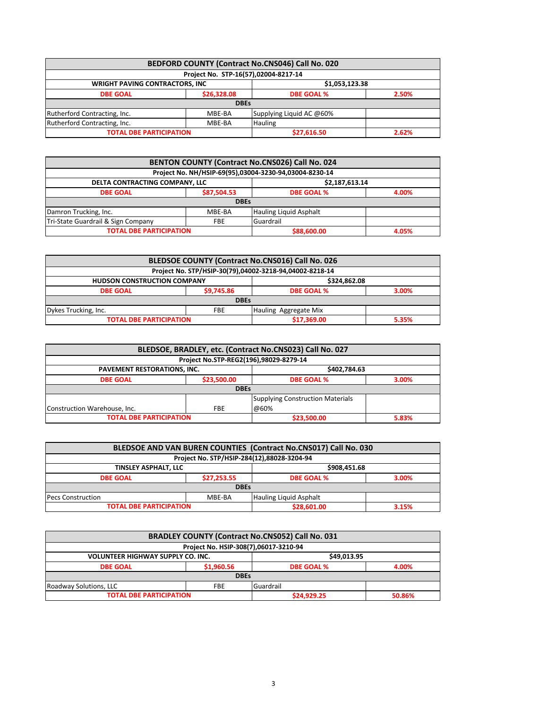| BEDFORD COUNTY (Contract No.CNS046) Call No. 020         |                                      |                          |       |  |
|----------------------------------------------------------|--------------------------------------|--------------------------|-------|--|
|                                                          | Project No. STP-16(57),02004-8217-14 |                          |       |  |
| \$1,053,123.38<br><b>WRIGHT PAVING CONTRACTORS, INC.</b> |                                      |                          |       |  |
| <b>DBE GOAL</b>                                          | \$26,328.08<br><b>DBE GOAL %</b>     |                          | 2.50% |  |
|                                                          | <b>DBEs</b>                          |                          |       |  |
| Rutherford Contracting, Inc.                             | MBE-BA                               | Supplying Liquid AC @60% |       |  |
| Rutherford Contracting, Inc.                             | MBE-BA                               | <b>Hauling</b>           |       |  |
| <b>TOTAL DBE PARTICIPATION</b>                           |                                      | \$27,616.50              | 2.62% |  |

| BENTON COUNTY (Contract No.CNS026) Call No. 024  |             |                                                        |       |  |
|--------------------------------------------------|-------------|--------------------------------------------------------|-------|--|
|                                                  |             | Project No. NH/HSIP-69(95),03004-3230-94,03004-8230-14 |       |  |
| \$2,187,613.14<br>DELTA CONTRACTING COMPANY, LLC |             |                                                        |       |  |
| <b>DBE GOAL</b>                                  | \$87,504.53 | <b>DBE GOAL %</b><br>4.00%                             |       |  |
|                                                  | <b>DBEs</b> |                                                        |       |  |
| Damron Trucking, Inc.                            | MBE-BA      | Hauling Liquid Asphalt                                 |       |  |
| Tri-State Guardrail & Sign Company               | <b>FBE</b>  | Guardrail                                              |       |  |
| <b>TOTAL DBE PARTICIPATION</b>                   |             | \$88,600.00                                            | 4.05% |  |

| BLEDSOE COUNTY (Contract No.CNS016) Call No. 026   |            |                                                         |       |  |
|----------------------------------------------------|------------|---------------------------------------------------------|-------|--|
|                                                    |            | Project No. STP/HSIP-30(79),04002-3218-94,04002-8218-14 |       |  |
| \$324,862.08<br><b>HUDSON CONSTRUCTION COMPANY</b> |            |                                                         |       |  |
| <b>DBE GOAL</b>                                    | \$9,745.86 | <b>DBE GOAL %</b><br>3.00%                              |       |  |
| <b>DBEs</b>                                        |            |                                                         |       |  |
| Dykes Trucking, Inc.                               | FBE        | Hauling Aggregate Mix                                   |       |  |
| <b>TOTAL DBE PARTICIPATION</b>                     |            | \$17,369.00                                             | 5.35% |  |

| BLEDSOE, BRADLEY, etc. (Contract No.CNS023) Call No. 027 |             |                                        |       |  |
|----------------------------------------------------------|-------------|----------------------------------------|-------|--|
|                                                          |             | Project No.STP-REG2(196),98029-8279-14 |       |  |
| \$402,784.63<br>PAVEMENT RESTORATIONS, INC.              |             |                                        |       |  |
| <b>DBE GOAL</b>                                          | \$23,500.00 | <b>DBE GOAL %</b><br>3.00%             |       |  |
|                                                          | <b>DBEs</b> |                                        |       |  |
| <b>Supplying Construction Materials</b>                  |             |                                        |       |  |
| Construction Warehouse, Inc.                             | FBE         | @60%                                   |       |  |
| <b>TOTAL DBE PARTICIPATION</b>                           |             | \$23,500.00                            | 5.83% |  |

| BLEDSOE AND VAN BUREN COUNTIES (Contract No.CNS017) Call No. 030    |             |                                            |       |  |
|---------------------------------------------------------------------|-------------|--------------------------------------------|-------|--|
|                                                                     |             | Project No. STP/HSIP-284(12),88028-3204-94 |       |  |
| \$908,451.68<br>TINSLEY ASPHALT, LLC                                |             |                                            |       |  |
| <b>DBE GOAL</b>                                                     | \$27,253.55 | <b>DBE GOAL %</b><br>3.00%                 |       |  |
| <b>DBEs</b>                                                         |             |                                            |       |  |
| <b>Hauling Liquid Asphalt</b><br>MBE-BA<br><b>Pecs Construction</b> |             |                                            |       |  |
| <b>TOTAL DBE PARTICIPATION</b>                                      |             | \$28,601.00                                | 3.15% |  |

| BRADLEY COUNTY (Contract No.CNS052) Call No. 031        |                                       |                            |        |  |
|---------------------------------------------------------|---------------------------------------|----------------------------|--------|--|
|                                                         | Project No. HSIP-308(7),06017-3210-94 |                            |        |  |
| \$49.013.95<br><b>VOLUNTEER HIGHWAY SUPPLY CO. INC.</b> |                                       |                            |        |  |
| <b>DBE GOAL</b>                                         | \$1,960.56                            | <b>DBE GOAL %</b><br>4.00% |        |  |
|                                                         | <b>DBEs</b>                           |                            |        |  |
| Guardrail<br>Roadway Solutions, LLC<br>FBE              |                                       |                            |        |  |
| <b>TOTAL DBE PARTICIPATION</b>                          |                                       | \$24,929.25                | 50.86% |  |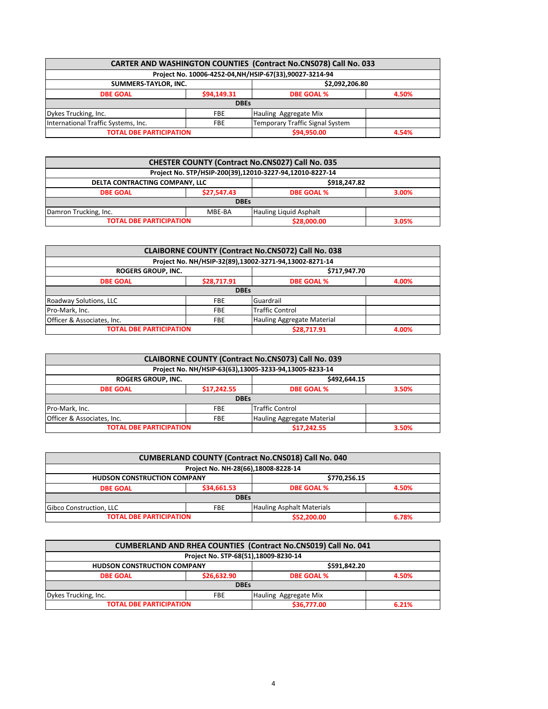| <b>CARTER AND WASHINGTON COUNTIES (Contract No.CNS078) Call No. 033</b> |             |                                                          |       |  |
|-------------------------------------------------------------------------|-------------|----------------------------------------------------------|-------|--|
|                                                                         |             | Project No. 10006-4252-04, NH/HSIP-67(33), 90027-3214-94 |       |  |
| SUMMERS-TAYLOR, INC.<br>\$2.092.206.80                                  |             |                                                          |       |  |
| \$94,149.31<br><b>DBE GOAL %</b><br><b>DBE GOAL</b>                     |             | 4.50%                                                    |       |  |
|                                                                         | <b>DBEs</b> |                                                          |       |  |
| Dykes Trucking, Inc.                                                    | FBE         | Hauling Aggregate Mix                                    |       |  |
| International Traffic Systems, Inc.                                     | <b>FBE</b>  | Temporary Traffic Signal System                          |       |  |
| <b>TOTAL DBE PARTICIPATION</b>                                          |             | \$94,950.00                                              | 4.54% |  |

| CHESTER COUNTY (Contract No.CNS027) Call No. 035          |             |                                                          |       |  |
|-----------------------------------------------------------|-------------|----------------------------------------------------------|-------|--|
|                                                           |             | Project No. STP/HSIP-200(39),12010-3227-94,12010-8227-14 |       |  |
| \$918,247.82<br>DELTA CONTRACTING COMPANY, LLC            |             |                                                          |       |  |
| <b>DBE GOAL</b>                                           | \$27,547.43 | <b>DBE GOAL %</b><br>3.00%                               |       |  |
| <b>DBEs</b>                                               |             |                                                          |       |  |
| Hauling Liquid Asphalt<br>Damron Trucking, Inc.<br>MBE-BA |             |                                                          |       |  |
| <b>TOTAL DBE PARTICIPATION</b>                            |             | \$28,000.00                                              | 3.05% |  |

| <b>CLAIBORNE COUNTY (Contract No.CNS072) Call No. 038</b> |             |                                                        |       |  |
|-----------------------------------------------------------|-------------|--------------------------------------------------------|-------|--|
|                                                           |             | Project No. NH/HSIP-32(89),13002-3271-94,13002-8271-14 |       |  |
| \$717,947.70<br><b>ROGERS GROUP, INC.</b>                 |             |                                                        |       |  |
| <b>DBE GOAL</b>                                           | \$28,717.91 | <b>DBE GOAL %</b><br>4.00%                             |       |  |
|                                                           | <b>DBEs</b> |                                                        |       |  |
| Roadway Solutions, LLC                                    | FBE         | Guardrail                                              |       |  |
| Pro-Mark, Inc.                                            | <b>FBE</b>  | Traffic Control                                        |       |  |
| Officer & Associates, Inc.                                | <b>FBE</b>  | Hauling Aggregate Material                             |       |  |
| <b>TOTAL DBE PARTICIPATION</b>                            |             | \$28,717.91                                            | 4.00% |  |

| <b>CLAIBORNE COUNTY (Contract No.CNS073) Call No. 039</b>              |             |                                                        |       |  |
|------------------------------------------------------------------------|-------------|--------------------------------------------------------|-------|--|
|                                                                        |             | Project No. NH/HSIP-63(63),13005-3233-94,13005-8233-14 |       |  |
| \$492,644.15<br><b>ROGERS GROUP, INC.</b>                              |             |                                                        |       |  |
| \$17,242.55<br><b>DBE GOAL %</b><br><b>DBE GOAL</b>                    |             |                                                        | 3.50% |  |
|                                                                        | <b>DBEs</b> |                                                        |       |  |
| Pro-Mark, Inc.                                                         | FBE         | Traffic Control                                        |       |  |
| Hauling Aggregate Material<br>Officer & Associates, Inc.<br><b>FBE</b> |             |                                                        |       |  |
| <b>TOTAL DBE PARTICIPATION</b>                                         |             | \$17,242.55                                            | 3.50% |  |

| <b>CUMBERLAND COUNTY (Contract No.CNS018) Call No. 040</b>         |                                     |                            |       |  |
|--------------------------------------------------------------------|-------------------------------------|----------------------------|-------|--|
|                                                                    | Project No. NH-28(66),18008-8228-14 |                            |       |  |
| \$770,256.15<br><b>HUDSON CONSTRUCTION COMPANY</b>                 |                                     |                            |       |  |
| <b>DBE GOAL</b>                                                    | \$34,661.53                         | <b>DBE GOAL %</b><br>4.50% |       |  |
| <b>DBEs</b>                                                        |                                     |                            |       |  |
| <b>Hauling Asphalt Materials</b><br>Gibco Construction, LLC<br>FBE |                                     |                            |       |  |
| <b>TOTAL DBE PARTICIPATION</b>                                     |                                     | \$52,200.00                | 6.78% |  |

| <b>CUMBERLAND AND RHEA COUNTIES (Contract No.CNS019) Call No. 041</b> |             |                            |       |  |
|-----------------------------------------------------------------------|-------------|----------------------------|-------|--|
| Project No. STP-68(51),18009-8230-14                                  |             |                            |       |  |
| \$591,842.20<br><b>HUDSON CONSTRUCTION COMPANY</b>                    |             |                            |       |  |
| <b>DBE GOAL</b>                                                       | \$26,632.90 | <b>DBE GOAL %</b><br>4.50% |       |  |
| <b>DBEs</b>                                                           |             |                            |       |  |
| Dykes Trucking, Inc.<br>Hauling Aggregate Mix<br><b>FBE</b>           |             |                            |       |  |
| <b>TOTAL DBE PARTICIPATION</b>                                        |             | \$36,777.00                | 6.21% |  |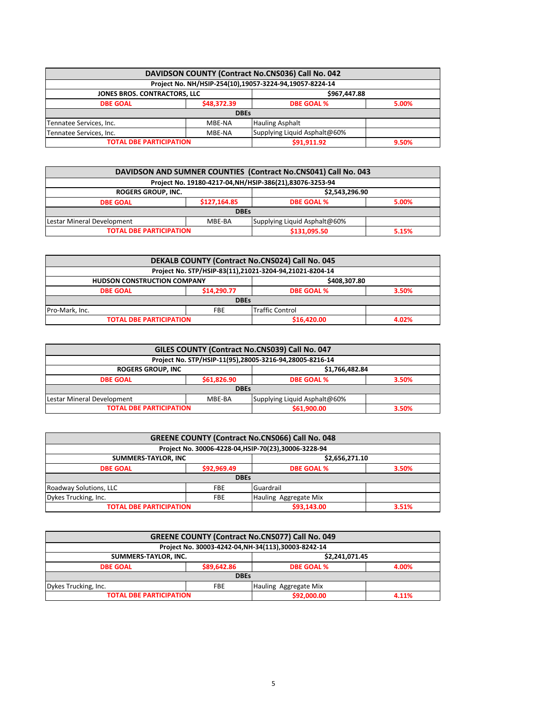| DAVIDSON COUNTY (Contract No.CNS036) Call No. 042                 |             |                                                         |       |  |
|-------------------------------------------------------------------|-------------|---------------------------------------------------------|-------|--|
|                                                                   |             | Project No. NH/HSIP-254(10),19057-3224-94,19057-8224-14 |       |  |
| JONES BROS. CONTRACTORS, LLC<br>\$967,447.88                      |             |                                                         |       |  |
| <b>DBE GOAL</b>                                                   | \$48,372.39 | <b>DBE GOAL %</b><br>5.00%                              |       |  |
|                                                                   | <b>DBEs</b> |                                                         |       |  |
| Tennatee Services, Inc.                                           | MBE-NA      | <b>Hauling Asphalt</b>                                  |       |  |
| Supplying Liquid Asphalt@60%<br>Tennatee Services, Inc.<br>MBE-NA |             |                                                         |       |  |
| <b>TOTAL DBE PARTICIPATION</b>                                    |             | \$91,911.92                                             | 9.50% |  |

| DAVIDSON AND SUMNER COUNTIES (Contract No.CNS041) Call No. 043       |              |                                                           |       |  |
|----------------------------------------------------------------------|--------------|-----------------------------------------------------------|-------|--|
|                                                                      |              | Project No. 19180-4217-04, NH/HSIP-386(21), 83076-3253-94 |       |  |
| \$2,543,296.90<br><b>ROGERS GROUP, INC.</b>                          |              |                                                           |       |  |
| <b>DBE GOAL</b>                                                      | \$127,164.85 | <b>DBE GOAL %</b><br>5.00%                                |       |  |
| <b>DBEs</b>                                                          |              |                                                           |       |  |
| Supplying Liquid Asphalt@60%<br>Lestar Mineral Development<br>MBE-BA |              |                                                           |       |  |
| <b>TOTAL DBE PARTICIPATION</b>                                       |              | \$131,095.50                                              | 5.15% |  |

| DEKALB COUNTY (Contract No.CNS024) Call No. 045    |                                           |                                                         |       |  |  |
|----------------------------------------------------|-------------------------------------------|---------------------------------------------------------|-------|--|--|
|                                                    |                                           | Project No. STP/HSIP-83(11),21021-3204-94,21021-8204-14 |       |  |  |
| \$408,307.80<br><b>HUDSON CONSTRUCTION COMPANY</b> |                                           |                                                         |       |  |  |
| <b>DBE GOAL</b>                                    | \$14,290.77<br><b>DBE GOAL %</b><br>3.50% |                                                         |       |  |  |
|                                                    | <b>DBEs</b>                               |                                                         |       |  |  |
| <b>Traffic Control</b><br>Pro-Mark, Inc.<br>FBE    |                                           |                                                         |       |  |  |
| <b>TOTAL DBE PARTICIPATION</b>                     |                                           | \$16,420.00                                             | 4.02% |  |  |

| GILES COUNTY (Contract No.CNS039) Call No. 047                       |             |                                                         |       |  |
|----------------------------------------------------------------------|-------------|---------------------------------------------------------|-------|--|
|                                                                      |             | Project No. STP/HSIP-11(95),28005-3216-94,28005-8216-14 |       |  |
| \$1,766,482.84<br><b>ROGERS GROUP, INC</b>                           |             |                                                         |       |  |
| <b>DBE GOAL</b>                                                      | \$61,826.90 | <b>DBE GOAL %</b><br>3.50%                              |       |  |
| <b>DBEs</b>                                                          |             |                                                         |       |  |
| Lestar Mineral Development<br>Supplying Liquid Asphalt@60%<br>MBE-BA |             |                                                         |       |  |
| <b>TOTAL DBE PARTICIPATION</b>                                       |             | \$61,900.00                                             | 3.50% |  |

| <b>GREENE COUNTY (Contract No.CNS066) Call No. 048</b>      |             |                                                       |       |  |
|-------------------------------------------------------------|-------------|-------------------------------------------------------|-------|--|
|                                                             |             | Project No. 30006-4228-04, HSIP-70(23), 30006-3228-94 |       |  |
| \$2,656,271.10<br>SUMMERS-TAYLOR, INC                       |             |                                                       |       |  |
| <b>DBE GOAL</b>                                             | \$92,969.49 | <b>DBE GOAL %</b><br>3.50%                            |       |  |
|                                                             | <b>DBEs</b> |                                                       |       |  |
| Roadway Solutions, LLC                                      | <b>FBE</b>  | Guardrail                                             |       |  |
| Dykes Trucking, Inc.<br>Hauling Aggregate Mix<br><b>FBE</b> |             |                                                       |       |  |
| <b>TOTAL DBE PARTICIPATION</b>                              |             | \$93,143.00                                           | 3.51% |  |

| <b>GREENE COUNTY (Contract No.CNS077) Call No. 049</b>      |             |                                                      |  |  |  |
|-------------------------------------------------------------|-------------|------------------------------------------------------|--|--|--|
|                                                             |             | Project No. 30003-4242-04, NH-34(113), 30003-8242-14 |  |  |  |
| \$2,241,071.45<br>SUMMERS-TAYLOR, INC.                      |             |                                                      |  |  |  |
| <b>DBE GOAL</b>                                             | \$89,642.86 | <b>DBE GOAL %</b><br>4.00%                           |  |  |  |
| <b>DBEs</b>                                                 |             |                                                      |  |  |  |
| Hauling Aggregate Mix<br>Dykes Trucking, Inc.<br><b>FBE</b> |             |                                                      |  |  |  |
| <b>TOTAL DBE PARTICIPATION</b><br>\$92,000.00<br>4.11%      |             |                                                      |  |  |  |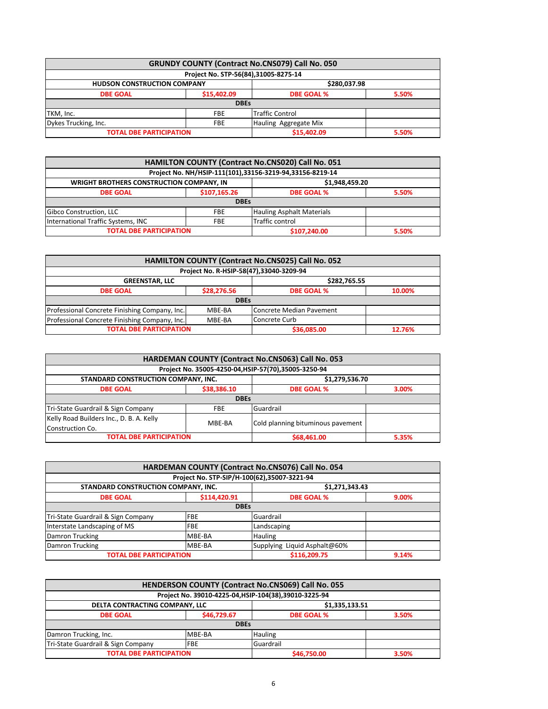| GRUNDY COUNTY (Contract No.CNS079) Call No. 050              |                                                    |                        |       |  |  |
|--------------------------------------------------------------|----------------------------------------------------|------------------------|-------|--|--|
|                                                              | Project No. STP-56(84),31005-8275-14               |                        |       |  |  |
|                                                              | \$280.037.98<br><b>HUDSON CONSTRUCTION COMPANY</b> |                        |       |  |  |
| \$15,402.09<br><b>DBE GOAL %</b><br>5.50%<br><b>DBE GOAL</b> |                                                    |                        |       |  |  |
|                                                              | <b>DBEs</b>                                        |                        |       |  |  |
| TKM, Inc.                                                    | FBE                                                | <b>Traffic Control</b> |       |  |  |
| Dykes Trucking, Inc.                                         | <b>FBE</b>                                         | Hauling Aggregate Mix  |       |  |  |
| <b>TOTAL DBE PARTICIPATION</b>                               |                                                    | \$15,402.09            | 5.50% |  |  |

| HAMILTON COUNTY (Contract No.CNS020) Call No. 051                   |             |                                                          |  |  |  |
|---------------------------------------------------------------------|-------------|----------------------------------------------------------|--|--|--|
|                                                                     |             | Project No. NH/HSIP-111(101),33156-3219-94,33156-8219-14 |  |  |  |
| \$1,948,459.20<br><b>WRIGHT BROTHERS CONSTRUCTION COMPANY, IN</b>   |             |                                                          |  |  |  |
| \$107,165.26<br><b>DBE GOAL %</b><br><b>DBE GOAL</b><br>5.50%       |             |                                                          |  |  |  |
|                                                                     | <b>DBEs</b> |                                                          |  |  |  |
| Gibco Construction, LLC                                             | FBE         | <b>Hauling Asphalt Materials</b>                         |  |  |  |
| International Traffic Systems, INC<br>Traffic control<br><b>FBE</b> |             |                                                          |  |  |  |
| <b>TOTAL DBE PARTICIPATION</b><br>\$107,240.00<br>5.50%             |             |                                                          |  |  |  |

| HAMILTON COUNTY (Contract No.CNS025) Call No. 052                        |             |                                         |        |  |  |
|--------------------------------------------------------------------------|-------------|-----------------------------------------|--------|--|--|
|                                                                          |             | Project No. R-HSIP-58(47),33040-3209-94 |        |  |  |
| \$282,765.55<br><b>GREENSTAR, LLC</b>                                    |             |                                         |        |  |  |
| \$28,276.56<br><b>DBE GOAL %</b><br>10.00%<br><b>DBE GOAL</b>            |             |                                         |        |  |  |
|                                                                          | <b>DBEs</b> |                                         |        |  |  |
| Professional Concrete Finishing Company, Inc.                            | MBE-BA      | Concrete Median Pavement                |        |  |  |
| Professional Concrete Finishing Company, Inc.<br>Concrete Curb<br>MBE-BA |             |                                         |        |  |  |
| <b>TOTAL DBE PARTICIPATION</b>                                           |             | \$36,085.00                             | 12.76% |  |  |

| HARDEMAN COUNTY (Contract No.CNS063) Call No. 053            |             |                                                       |  |  |
|--------------------------------------------------------------|-------------|-------------------------------------------------------|--|--|
|                                                              |             | Project No. 35005-4250-04, HSIP-57(70), 35005-3250-94 |  |  |
| STANDARD CONSTRUCTION COMPANY, INC.<br>\$1,279,536.70        |             |                                                       |  |  |
| \$38,386.10<br><b>DBE GOAL %</b><br><b>DBE GOAL</b><br>3.00% |             |                                                       |  |  |
|                                                              | <b>DBEs</b> |                                                       |  |  |
| Tri-State Guardrail & Sign Company                           | <b>FBE</b>  | Guardrail                                             |  |  |
| Kelly Road Builders Inc., D. B. A. Kelly                     | MBE-BA      |                                                       |  |  |
| Construction Co.                                             |             | Cold planning bituminous pavement                     |  |  |
| <b>TOTAL DBE PARTICIPATION</b><br>\$68,461.00<br>5.35%       |             |                                                       |  |  |

| HARDEMAN COUNTY (Contract No.CNS076) Call No. 054         |                                             |                   |       |  |  |
|-----------------------------------------------------------|---------------------------------------------|-------------------|-------|--|--|
|                                                           | Project No. STP-SIP/H-100(62),35007-3221-94 |                   |       |  |  |
| STANDARD CONSTRUCTION COMPANY, INC.<br>\$1,271,343.43     |                                             |                   |       |  |  |
| <b>DBE GOAL</b>                                           | \$114,420.91                                | <b>DBE GOAL %</b> | 9.00% |  |  |
|                                                           | <b>DBEs</b>                                 |                   |       |  |  |
| Tri-State Guardrail & Sign Company                        | <b>FBE</b>                                  | Guardrail         |       |  |  |
| Interstate Landscaping of MS                              | <b>FBE</b>                                  | Landscaping       |       |  |  |
| Damron Trucking                                           | MBE-BA                                      | <b>Hauling</b>    |       |  |  |
| Supplying Liquid Asphalt@60%<br>Damron Trucking<br>MBE-BA |                                             |                   |       |  |  |
| \$116,209.75<br><b>TOTAL DBE PARTICIPATION</b><br>9.14%   |                                             |                   |       |  |  |

| HENDERSON COUNTY (Contract No.CNS069) Call No. 055            |             |                                                        |  |  |
|---------------------------------------------------------------|-------------|--------------------------------------------------------|--|--|
|                                                               |             | Project No. 39010-4225-04, HSIP-104(38), 39010-3225-94 |  |  |
| \$1,335,133.51<br>DELTA CONTRACTING COMPANY, LLC              |             |                                                        |  |  |
| \$46,729.67<br><b>DBE GOAL %</b><br>3.50%<br><b>DBE GOAL</b>  |             |                                                        |  |  |
|                                                               | <b>DBEs</b> |                                                        |  |  |
| Damron Trucking, Inc.                                         | MBE-BA      | <b>Hauling</b>                                         |  |  |
| Tri-State Guardrail & Sign Company<br>Guardrail<br><b>FBE</b> |             |                                                        |  |  |
| <b>TOTAL DBE PARTICIPATION</b><br>\$46,750.00<br>3.50%        |             |                                                        |  |  |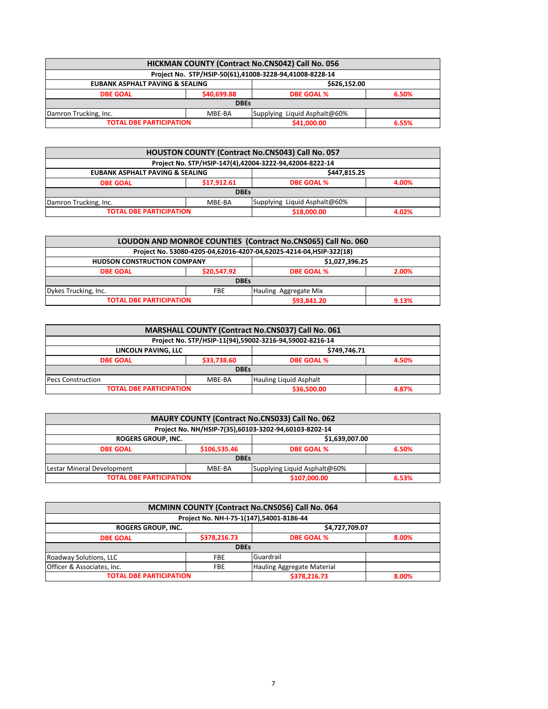| <b>HICKMAN COUNTY (Contract No.CNS042) Call No. 056</b>         |  |                                                         |  |  |
|-----------------------------------------------------------------|--|---------------------------------------------------------|--|--|
|                                                                 |  | Project No. STP/HSIP-50(61),41008-3228-94,41008-8228-14 |  |  |
| <b>EUBANK ASPHALT PAVING &amp; SEALING</b><br>\$626,152.00      |  |                                                         |  |  |
| \$40,699.88<br><b>DBE GOAL %</b><br>6.50%<br><b>DBE GOAL</b>    |  |                                                         |  |  |
| <b>DBEs</b>                                                     |  |                                                         |  |  |
| Supplying Liquid Asphalt@60%<br>Damron Trucking, Inc.<br>MBE-BA |  |                                                         |  |  |
| <b>TOTAL DBE PARTICIPATION</b><br>\$41,000.00<br>6.55%          |  |                                                         |  |  |

| <b>HOUSTON COUNTY (Contract No.CNS043) Call No. 057</b>         |  |                                                         |  |  |
|-----------------------------------------------------------------|--|---------------------------------------------------------|--|--|
|                                                                 |  | Project No. STP/HSIP-147(4),42004-3222-94,42004-8222-14 |  |  |
| <b>EUBANK ASPHALT PAVING &amp; SEALING</b><br>\$447,815.25      |  |                                                         |  |  |
| \$17,912.61<br><b>DBE GOAL %</b><br>4.00%<br><b>DBE GOAL</b>    |  |                                                         |  |  |
| <b>DBEs</b>                                                     |  |                                                         |  |  |
| Supplying Liquid Asphalt@60%<br>Damron Trucking, Inc.<br>MBE-BA |  |                                                         |  |  |
| <b>TOTAL DBE PARTICIPATION</b><br>\$18,000.00<br>4.02%          |  |                                                         |  |  |

| LOUDON AND MONROE COUNTIES (Contract No.CNS065) Call No. 060 |  |                                                                    |  |  |
|--------------------------------------------------------------|--|--------------------------------------------------------------------|--|--|
|                                                              |  | Project No. 53080-4205-04,62016-4207-04,62025-4214-04,HSIP-322(18) |  |  |
| \$1,027,396.25<br><b>HUDSON CONSTRUCTION COMPANY</b>         |  |                                                                    |  |  |
| \$20,547.92<br><b>DBE GOAL %</b><br>2.00%<br><b>DBE GOAL</b> |  |                                                                    |  |  |
| <b>DBEs</b>                                                  |  |                                                                    |  |  |
| Dykes Trucking, Inc.<br><b>FBE</b><br>Hauling Aggregate Mix  |  |                                                                    |  |  |
| <b>TOTAL DBE PARTICIPATION</b><br>\$93,841.20<br>9.13%       |  |                                                                    |  |  |

| MARSHALL COUNTY (Contract No.CNS037) Call No. 061            |             |                                                         |  |  |
|--------------------------------------------------------------|-------------|---------------------------------------------------------|--|--|
|                                                              |             | Project No. STP/HSIP-11(94),59002-3216-94,59002-8216-14 |  |  |
| \$749.746.71<br>LINCOLN PAVING, LLC                          |             |                                                         |  |  |
| \$33,738.60<br><b>DBE GOAL %</b><br><b>DBE GOAL</b><br>4.50% |             |                                                         |  |  |
|                                                              | <b>DBEs</b> |                                                         |  |  |
| Hauling Liquid Asphalt<br><b>Pecs Construction</b><br>MBE-BA |             |                                                         |  |  |
| \$36,500.00<br><b>TOTAL DBE PARTICIPATION</b><br>4.87%       |             |                                                         |  |  |

| MAURY COUNTY (Contract No.CNS033) Call No. 062                       |                                            |                                                       |       |  |
|----------------------------------------------------------------------|--------------------------------------------|-------------------------------------------------------|-------|--|
|                                                                      |                                            | Project No. NH/HSIP-7(35),60103-3202-94,60103-8202-14 |       |  |
| \$1,639,007.00<br><b>ROGERS GROUP, INC.</b>                          |                                            |                                                       |       |  |
| <b>DBE GOAL</b>                                                      | \$106,535.46<br><b>DBE GOAL %</b><br>6.50% |                                                       |       |  |
| <b>DBEs</b>                                                          |                                            |                                                       |       |  |
| Lestar Mineral Development<br>Supplying Liquid Asphalt@60%<br>MBE-BA |                                            |                                                       |       |  |
| <b>TOTAL DBE PARTICIPATION</b>                                       |                                            | \$107,000.00                                          | 6.53% |  |

|                                |              | MCMINN COUNTY (Contract No.CNS056) Call No. 064 |       |
|--------------------------------|--------------|-------------------------------------------------|-------|
|                                |              | Project No. NH-I-75-1(147),54001-8186-44        |       |
| <b>ROGERS GROUP, INC.</b>      |              | \$4,727,709.07                                  |       |
| <b>DBE GOAL</b>                | \$378,216.73 | <b>DBE GOAL %</b>                               | 8.00% |
|                                | <b>DBEs</b>  |                                                 |       |
| Roadway Solutions, LLC         | FBE          | Guardrail                                       |       |
| Officer & Associates, Inc.     | FBE          | Hauling Aggregate Material                      |       |
| <b>TOTAL DBE PARTICIPATION</b> |              | \$378,216.73                                    | 8.00% |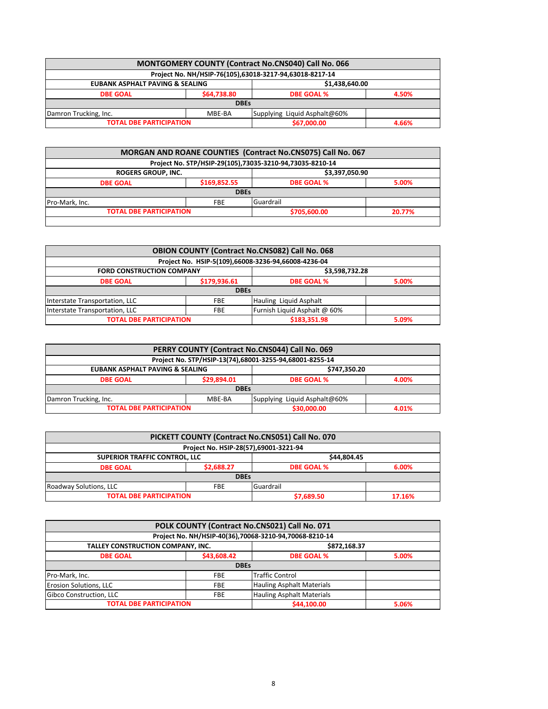|                                                              |        | <b>MONTGOMERY COUNTY (Contract No.CNS040) Call No. 066</b> |       |
|--------------------------------------------------------------|--------|------------------------------------------------------------|-------|
|                                                              |        | Project No. NH/HSIP-76(105),63018-3217-94,63018-8217-14    |       |
| <b>EUBANK ASPHALT PAVING &amp; SEALING</b>                   |        | \$1,438,640.00                                             |       |
| \$64,738.80<br><b>DBE GOAL %</b><br>4.50%<br><b>DBE GOAL</b> |        |                                                            |       |
|                                                              |        | <b>DBEs</b>                                                |       |
| Damron Trucking, Inc.                                        | MBE-BA | Supplying Liquid Asphalt@60%                               |       |
| <b>TOTAL DBE PARTICIPATION</b>                               |        | \$67,000.00                                                | 4.66% |

|                                |              | MORGAN AND ROANE COUNTIES (Contract No.CNS075) Call No. 067 |        |
|--------------------------------|--------------|-------------------------------------------------------------|--------|
|                                |              | Project No. STP/HSIP-29(105),73035-3210-94,73035-8210-14    |        |
| <b>ROGERS GROUP, INC.</b>      |              | \$3,397,050.90                                              |        |
| <b>DBE GOAL</b>                | \$169,852.55 | <b>DBE GOAL %</b>                                           | 5.00%  |
|                                | <b>DBEs</b>  |                                                             |        |
| Pro-Mark, Inc.                 | <b>FBE</b>   | Guardrail                                                   |        |
| <b>TOTAL DBE PARTICIPATION</b> |              | \$705,600.00                                                | 20.77% |
|                                |              |                                                             |        |

|                                  |              | <b>OBION COUNTY (Contract No.CNS082) Call No. 068</b> |       |
|----------------------------------|--------------|-------------------------------------------------------|-------|
|                                  |              | Project No. HSIP-5(109),66008-3236-94,66008-4236-04   |       |
| <b>FORD CONSTRUCTION COMPANY</b> |              | \$3,598,732.28                                        |       |
| <b>DBE GOAL</b>                  | \$179,936.61 | <b>DBE GOAL %</b>                                     | 5.00% |
|                                  | <b>DBEs</b>  |                                                       |       |
| Interstate Transportation, LLC   | <b>FBE</b>   | Hauling Liquid Asphalt                                |       |
| Interstate Transportation, LLC   | <b>FBE</b>   | Furnish Liquid Asphalt @ 60%                          |       |
| <b>TOTAL DBE PARTICIPATION</b>   |              | \$183,351.98                                          | 5.09% |

|                                            |             | PERRY COUNTY (Contract No.CNS044) Call No. 069          |       |
|--------------------------------------------|-------------|---------------------------------------------------------|-------|
|                                            |             | Project No. STP/HSIP-13(74),68001-3255-94,68001-8255-14 |       |
| <b>EUBANK ASPHALT PAVING &amp; SEALING</b> |             | \$747.350.20                                            |       |
| <b>DBE GOAL</b>                            | \$29.894.01 | <b>DBE GOAL %</b>                                       | 4.00% |
|                                            | <b>DBEs</b> |                                                         |       |
| Damron Trucking, Inc.                      | MBE-BA      | Supplying Liquid Asphalt@60%                            |       |
| <b>TOTAL DBE PARTICIPATION</b>             |             | \$30,000.00                                             | 4.01% |

|                                |             | PICKETT COUNTY (Contract No.CNS051) Call No. 070 |        |
|--------------------------------|-------------|--------------------------------------------------|--------|
|                                |             | Project No. HSIP-28(57),69001-3221-94            |        |
| SUPERIOR TRAFFIC CONTROL, LLC  |             | \$44,804.45                                      |        |
| <b>DBE GOAL</b>                | \$2,688.27  | <b>DBE GOAL %</b>                                | 6.00%  |
|                                | <b>DBEs</b> |                                                  |        |
| Roadway Solutions, LLC         | FBE         | Guardrail                                        |        |
| <b>TOTAL DBE PARTICIPATION</b> |             | \$7,689.50                                       | 17.16% |

|                                                     |             | POLK COUNTY (Contract No.CNS021) Call No. 071          |       |
|-----------------------------------------------------|-------------|--------------------------------------------------------|-------|
|                                                     |             | Project No. NH/HSIP-40(36),70068-3210-94,70068-8210-14 |       |
| TALLEY CONSTRUCTION COMPANY, INC.                   |             | \$872,168.37                                           |       |
| \$43,608.42<br><b>DBE GOAL %</b><br><b>DBE GOAL</b> |             | 5.00%                                                  |       |
|                                                     | <b>DBEs</b> |                                                        |       |
| Pro-Mark, Inc.                                      | <b>FBE</b>  | Traffic Control                                        |       |
| <b>Erosion Solutions, LLC</b>                       | <b>FBE</b>  | <b>Hauling Asphalt Materials</b>                       |       |
| Gibco Construction, LLC                             | <b>FBE</b>  | <b>Hauling Asphalt Materials</b>                       |       |
| <b>TOTAL DBE PARTICIPATION</b>                      |             | \$44,100.00                                            | 5.06% |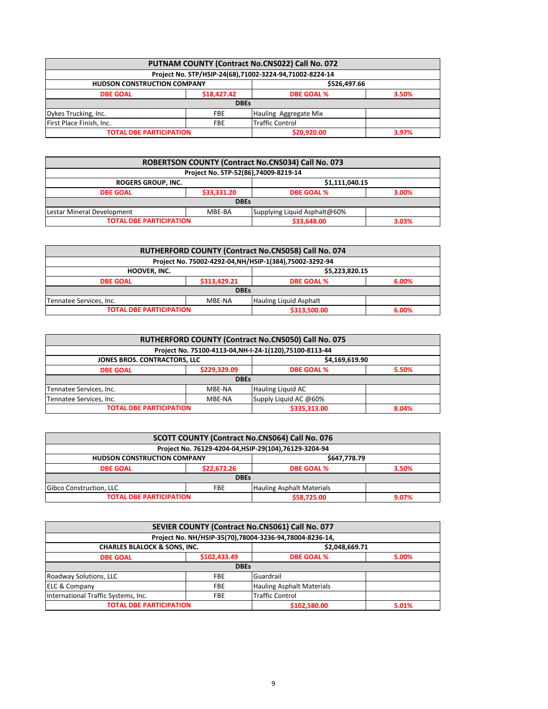|                                                              |             | PUTNAM COUNTY (Contract No.CNS022) Call No. 072         |       |
|--------------------------------------------------------------|-------------|---------------------------------------------------------|-------|
|                                                              |             | Project No. STP/HSIP-24(68),71002-3224-94,71002-8224-14 |       |
| <b>HUDSON CONSTRUCTION COMPANY</b>                           |             | \$526.497.66                                            |       |
| \$18,427.42<br><b>DBE GOAL %</b><br>3.50%<br><b>DBE GOAL</b> |             |                                                         |       |
|                                                              | <b>DBEs</b> |                                                         |       |
| Dykes Trucking, Inc.                                         | <b>FBE</b>  | Hauling Aggregate Mix                                   |       |
| First Place Finish, Inc.                                     | FBE         | Traffic Control                                         |       |
| <b>TOTAL DBE PARTICIPATION</b>                               |             | \$20,920.00                                             | 3.97% |

|                                |             | ROBERTSON COUNTY (Contract No.CNS034) Call No. 073 |       |
|--------------------------------|-------------|----------------------------------------------------|-------|
|                                |             | Project No. STP-52(86),74009-8219-14               |       |
| <b>ROGERS GROUP, INC.</b>      |             | \$1,111,040.15                                     |       |
| <b>DBE GOAL</b>                | \$33,331.20 | <b>DBE GOAL %</b><br>3.00%                         |       |
|                                | <b>DBEs</b> |                                                    |       |
| Lestar Mineral Development     | MBE-BA      | Supplying Liquid Asphalt@60%                       |       |
| <b>TOTAL DBE PARTICIPATION</b> |             | \$33,648.00                                        | 3.03% |

|                                |              | RUTHERFORD COUNTY (Contract No.CNS058) Call No. 074      |       |
|--------------------------------|--------------|----------------------------------------------------------|-------|
|                                |              | Project No. 75002-4292-04, NH/HSIP-1(384), 75002-3292-94 |       |
| HOOVER, INC.                   |              | \$5,223,820.15                                           |       |
| <b>DBE GOAL</b>                | \$313,429.21 | <b>DBE GOAL %</b>                                        | 6.00% |
|                                | <b>DBEs</b>  |                                                          |       |
| Tennatee Services, Inc.        | MBE-NA       | <b>Hauling Liquid Asphalt</b>                            |       |
| <b>TOTAL DBE PARTICIPATION</b> |              | \$313,500.00                                             | 6.00% |

|                                |              | RUTHERFORD COUNTY (Contract No.CNS050) Call No. 075      |       |
|--------------------------------|--------------|----------------------------------------------------------|-------|
|                                |              | Project No. 75100-4113-04, NH-I-24-1(120), 75100-8113-44 |       |
| JONES BROS. CONTRACTORS, LLC   |              | \$4,169,619.90                                           |       |
| <b>DBE GOAL</b>                | \$229,329.09 | <b>DBE GOAL %</b>                                        | 5.50% |
|                                | <b>DBEs</b>  |                                                          |       |
| Tennatee Services, Inc.        | MBE-NA       | <b>Hauling Liquid AC</b>                                 |       |
| Tennatee Services, Inc.        | MBE-NA       | Supply Liquid AC @60%                                    |       |
| <b>TOTAL DBE PARTICIPATION</b> |              | \$335,313.00                                             | 8.04% |

|                                    |             | SCOTT COUNTY (Contract No.CNS064) Call No. 076         |       |
|------------------------------------|-------------|--------------------------------------------------------|-------|
|                                    |             | Project No. 76129-4204-04, HSIP-29(104), 76129-3204-94 |       |
| <b>HUDSON CONSTRUCTION COMPANY</b> |             | \$647,778.79                                           |       |
| <b>DBE GOAL</b>                    | \$22,672.26 | <b>DBE GOAL %</b>                                      | 3.50% |
|                                    | <b>DBEs</b> |                                                        |       |
| <b>Gibco Construction, LLC</b>     | FBE         | <b>Hauling Asphalt Materials</b>                       |       |
| <b>TOTAL DBE PARTICIPATION</b>     |             | \$58,725.00                                            | 9.07% |

| SEVIER COUNTY (Contract No.CNS061) Call No. 077         |              |                                  |       |  |
|---------------------------------------------------------|--------------|----------------------------------|-------|--|
| Project No. NH/HSIP-35(70),78004-3236-94,78004-8236-14, |              |                                  |       |  |
| <b>CHARLES BLALOCK &amp; SONS, INC.</b>                 |              | \$2,048,669.71                   |       |  |
| <b>DBE GOAL</b>                                         | \$102,433.49 | <b>DBE GOAL %</b>                | 5.00% |  |
| <b>DBEs</b>                                             |              |                                  |       |  |
| Roadway Solutions, LLC                                  | <b>FBE</b>   | Guardrail                        |       |  |
| <b>ELC &amp; Company</b>                                | <b>FBE</b>   | <b>Hauling Asphalt Materials</b> |       |  |
| International Traffic Systems, Inc.                     | <b>FBE</b>   | Traffic Control                  |       |  |
| <b>TOTAL DBE PARTICIPATION</b>                          |              | \$102,580.00                     | 5.01% |  |